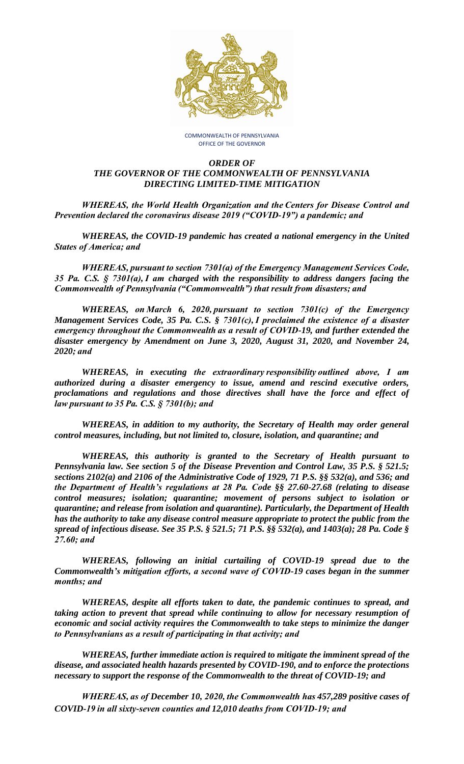

COMMONWEALTH OF PENNSYLVANIA OFFICE OF THE GOVERNOR

## *ORDER OF THE GOVERNOR OF THE COMMONWEALTH OF PENNSYLVANIA DIRECTING LIMITED-TIME MITIGATION*

*WHEREAS, the World Health Organization and the Centers for Disease Control and Prevention declared the coronavirus disease 2019 ("COVID-19") a pandemic; and*

*WHEREAS, the COVID-19 pandemic has created a national emergency in the United States of America; and*

*WHEREAS, pursuant to section 7301(a) of the Emergency Management Services Code, 35 Pa. C.S. § 7301(a), I am charged with the responsibility to address dangers facing the Commonwealth of Pennsylvania ("Commonwealth") that result from disasters; and*

*WHEREAS, on March 6, 2020, pursuant to section 7301(c) of the Emergency Management Services Code, 35 Pa. C.S. § 7301(c), I proclaimed the existence of a disaster emergency throughout the Commonwealth as a result of COVID-19, and further extended the disaster emergency by Amendment on June 3, 2020, August 31, 2020, and November 24, 2020; and*

*WHEREAS, in executing the extraordinary responsibility outlined above, I am authorized during a disaster emergency to issue, amend and rescind executive orders, proclamations and regulations and those directives shall have the force and effect of law pursuant to 35 Pa. C.S. § 7301(b); and*

*WHEREAS, in addition to my authority, the Secretary of Health may order general control measures, including, but not limited to, closure, isolation, and quarantine; and*

*WHEREAS, this authority is granted to the Secretary of Health pursuant to Pennsylvania law. See section 5 of the Disease Prevention and Control Law, 35 P.S. § 521.5; sections 2102(a) and 2106 of the Administrative Code of 1929, 71 P.S. §§ 532(a), and 536; and the Department of Health's regulations at 28 Pa. Code §§ 27.60-27.68 (relating to disease control measures; isolation; quarantine; movement of persons subject to isolation or quarantine; and release from isolation and quarantine). Particularly, the Department of Health has the authority to take any disease control measure appropriate to protect the public from the spread of infectious disease. See 35 P.S. § 521.5; 71 P.S. §§ 532(a), and 1403(a); 28 Pa. Code § 27.60; and*

*WHEREAS, following an initial curtailing of COVID-19 spread due to the Commonwealth's mitigation efforts, a second wave of COVID-19 cases began in the summer months; and*

*WHEREAS, despite all efforts taken to date, the pandemic continues to spread, and taking action to prevent that spread while continuing to allow for necessary resumption of economic and social activity requires the Commonwealth to take steps to minimize the danger to Pennsylvanians as a result of participating in that activity; and*

*WHEREAS, further immediate action is required to mitigate the imminent spread of the disease, and associated health hazards presented by COVID-190, and to enforce the protections necessary to support the response of the Commonwealth to the threat of COVID-19; and*

*WHEREAS, as of December 10, 2020, the Commonwealth has 457,289 positive cases of COVID-19 in all sixty-seven counties and 12,010 deaths from COVID-19; and*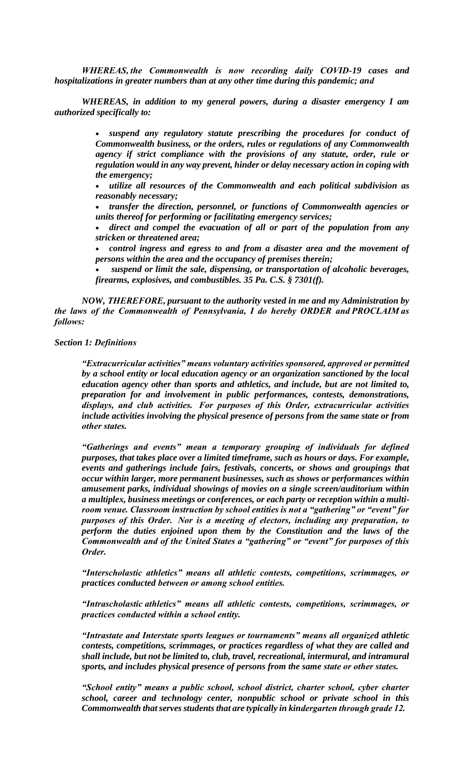*WHEREAS, the Commonwealth is now recording daily COVID-19 cases and hospitalizations in greater numbers than at any other time during this pandemic; and*

*WHEREAS, in addition to my general powers, during a disaster emergency I am authorized specifically to:*

> • *suspend any regulatory statute prescribing the procedures for conduct of Commonwealth business, or the orders, rules or regulations of any Commonwealth agency if strict compliance with the provisions of any statute, order, rule or regulation would in any way prevent, hinder or delay necessary action in coping with the emergency;*

> • *utilize all resources of the Commonwealth and each political subdivision as reasonably necessary;*

> • *transfer the direction, personnel, or functions of Commonwealth agencies or units thereof for performing or facilitating emergency services;*

> • *direct and compel the evacuation of all or part of the population from any stricken or threatened area;*

> • *control ingress and egress to and from a disaster area and the movement of persons within the area and the occupancy of premises therein;*

> • *suspend or limit the sale, dispensing, or transportation of alcoholic beverages, firearms, explosives, and combustibles. 35 Pa. C.S. § 7301(f).*

*NOW, THEREFORE, pursuant to the authority vested in me and my Administration by the laws of the Commonwealth of Pennsylvania, I do hereby ORDER and PROCLAIM as follows:*

*Section 1: Definitions*

*"Extracurricular activities" means voluntary activities sponsored, approved or permitted by a school entity or local education agency or an organization sanctioned by the local education agency other than sports and athletics, and include, but are not limited to, preparation for and involvement in public performances, contests, demonstrations, displays, and club activities.  For purposes of this Order, extracurricular activities include activities involving the physical presence of persons from the same state or from other states.*

*"Gatherings and events" mean a temporary grouping of individuals for defined purposes, that takes place over a limited timeframe, such as hours or days. For example, events and gatherings include fairs, festivals, concerts, or shows and groupings that occur within larger, more permanent businesses, such as shows or performances within amusement parks, individual showings of movies on a single screen/auditorium within a multiplex, business meetings or conferences, or each party or reception within a multiroom venue. Classroom instruction by school entities is not a "gathering" or "event" for purposes of this Order.  Nor is a meeting of electors, including any preparation, to perform the duties enjoined upon them by the Constitution and the laws of the Commonwealth and of the United States a "gathering" or "event" for purposes of this Order.*

*"Interscholastic athletics" means all athletic contests, competitions, scrimmages, or practices conducted between or among school entities.*

*"Intrascholastic athletics" means all athletic contests, competitions, scrimmages, or practices conducted within a school entity.*

*"Intrastate and Interstate sports leagues or tournaments" means all organized athletic contests, competitions, scrimmages, or practices regardless of what they are called and shall include, but not be limited to, club, travel, recreational, intermural, and intramural sports, and includes physical presence of persons from the same state or other states.*

*"School entity" means a public school, school district, charter school, cyber charter school, career and technology center, nonpublic school or private school in this Commonwealth that serves students that are typically in kindergarten through grade 12.*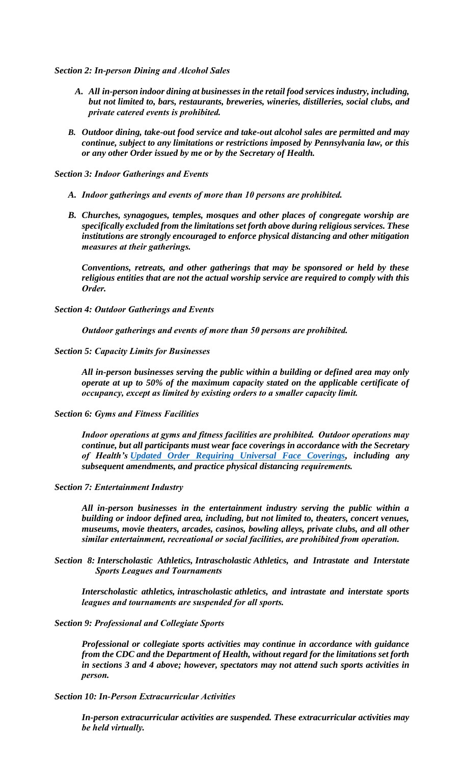*Section 2: In-person Dining and Alcohol Sales*

- *A. All in-person indoor dining at businesses in the retail food services industry, including, but not limited to, bars, restaurants, breweries, wineries, distilleries, social clubs, and private catered events is prohibited.*
- *B. Outdoor dining, take-out food service and take-out alcohol sales are permitted and may continue, subject to any limitations or restrictions imposed by Pennsylvania law, or this or any other Order issued by me or by the Secretary of Health.*

*Section 3: Indoor Gatherings and Events*

- *A. Indoor gatherings and events of more than 10 persons are prohibited.*
- *B. Churches, synagogues, temples, mosques and other places of congregate worship are specifically excluded from the limitations set forth above during religious services. These institutions are strongly encouraged to enforce physical distancing and other mitigation measures at their gatherings.*

*Conventions, retreats, and other gatherings that may be sponsored or held by these religious entities that are not the actual worship service are required to comply with this Order.*

*Section 4: Outdoor Gatherings and Events*

*Outdoor gatherings and events of more than 50 persons are prohibited.*

*Section 5: Capacity Limits for Businesses*

*All in-person businesses serving the public within a building or defined area may only operate at up to 50% of the maximum capacity stated on the applicable certificate of occupancy, except as limited by existing orders to a smaller capacity limit.*

## *Section 6: Gyms and Fitness Facilities*

*Indoor operations at gyms and fitness facilities are prohibited.  Outdoor operations may continue, but all participants must wear face coverings in accordance with the Secretary of Health's [Updated Order Requiring Universal Face Coverings,](https://www.governor.pa.gov/wp-content/uploads/2020/11/20201117-SOH-Universal-Face-Coverings-Order-Update.pdf) including any subsequent amendments, and practice physical distancing requirements.*

*Section 7: Entertainment Industry*

*All in-person businesses in the entertainment industry serving the public within a building or indoor defined area, including, but not limited to, theaters, concert venues, museums, movie theaters, arcades, casinos, bowling alleys, private clubs, and all other similar entertainment, recreational or social facilities, are prohibited from operation.*

*Section 8: Interscholastic Athletics, Intrascholastic Athletics, and Intrastate and Interstate Sports Leagues and Tournaments*

*Interscholastic athletics, intrascholastic athletics, and intrastate and interstate sports leagues and tournaments are suspended for all sports.*

## *Section 9: Professional and Collegiate Sports*

*Professional or collegiate sports activities may continue in accordance with guidance from the CDC and the Department of Health, without regard for the limitations set forth in sections 3 and 4 above; however, spectators may not attend such sports activities in person.*

*Section 10: In-Person Extracurricular Activities*

*In-person extracurricular activities are suspended. These extracurricular activities may be held virtually.*